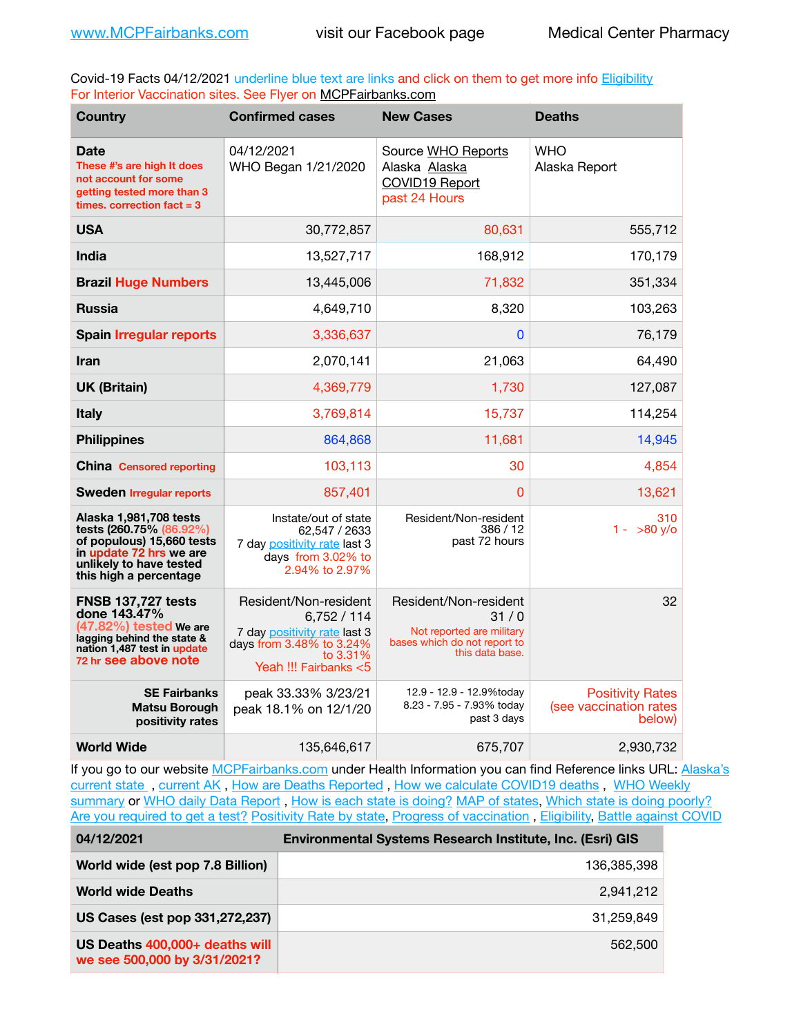Covid-19 Facts 04/12/2021 underline blue text are links and click on them to get more info **Eligibility** For Interior Vaccination sites. See Flyer on [MCPFairbanks.com](http://www.MCPFairbanks.com)

| <b>Country</b>                                                                                                                                                 | <b>Confirmed cases</b>                                                                                                              | <b>New Cases</b>                                                                                              | <b>Deaths</b>                                               |
|----------------------------------------------------------------------------------------------------------------------------------------------------------------|-------------------------------------------------------------------------------------------------------------------------------------|---------------------------------------------------------------------------------------------------------------|-------------------------------------------------------------|
| Date<br>These #'s are high It does<br>not account for some<br>getting tested more than 3<br>times, correction fact $= 3$                                       | 04/12/2021<br>WHO Began 1/21/2020                                                                                                   | Source WHO Reports<br>Alaska Alaska<br>COVID19 Report<br>past 24 Hours                                        | <b>WHO</b><br>Alaska Report                                 |
| <b>USA</b>                                                                                                                                                     | 30.772.857                                                                                                                          | 80,631                                                                                                        | 555,712                                                     |
| <b>India</b>                                                                                                                                                   | 13,527,717                                                                                                                          | 168,912                                                                                                       | 170,179                                                     |
| <b>Brazil Huge Numbers</b>                                                                                                                                     | 13,445,006                                                                                                                          | 71,832                                                                                                        | 351,334                                                     |
| <b>Russia</b>                                                                                                                                                  | 4,649,710                                                                                                                           | 8,320                                                                                                         | 103,263                                                     |
| <b>Spain Irregular reports</b>                                                                                                                                 | 3,336,637                                                                                                                           | 0                                                                                                             | 76,179                                                      |
| <b>Iran</b>                                                                                                                                                    | 2.070.141                                                                                                                           | 21,063                                                                                                        | 64,490                                                      |
| <b>UK (Britain)</b>                                                                                                                                            | 4,369,779                                                                                                                           | 1,730                                                                                                         | 127,087                                                     |
| <b>Italy</b>                                                                                                                                                   | 3,769,814                                                                                                                           | 15,737                                                                                                        | 114,254                                                     |
| <b>Philippines</b>                                                                                                                                             | 864,868                                                                                                                             | 11,681                                                                                                        | 14,945                                                      |
| <b>China</b> Censored reporting                                                                                                                                | 103,113                                                                                                                             | 30                                                                                                            | 4,854                                                       |
| <b>Sweden Irregular reports</b>                                                                                                                                | 857.401                                                                                                                             | 0                                                                                                             | 13,621                                                      |
| Alaska 1,981,708 tests<br>tests (260.75% (86.92%)<br>of populous) 15,660 tests<br>in update 72 hrs we are<br>unlikely to have tested<br>this high a percentage | Instate/out of state<br>62.547 / 2633<br>7 day positivity rate last 3<br>days from 3.02% to<br>2.94% to 2.97%                       | Resident/Non-resident<br>386 / 12<br>past 72 hours                                                            | 310<br>$1 - 580 \text{ V/O}$                                |
| <b>FNSB 137,727 tests</b><br>done 143.47%<br>$(47.82\%)$ tested We are<br>lagging behind the state &<br>nation 1,487 test in update<br>72 hr see above note    | Resident/Non-resident<br>6,752/114<br>7 day positivity rate last 3<br>days from 3.48% to 3.24%<br>to 3.31%<br>Yeah !!! Fairbanks <5 | Resident/Non-resident<br>31/0<br>Not reported are military<br>bases which do not report to<br>this data base. | 32                                                          |
| <b>SE Fairbanks</b><br><b>Matsu Borough</b><br>positivity rates                                                                                                | peak 33.33% 3/23/21<br>peak 18.1% on 12/1/20                                                                                        | 12.9 - 12.9 - 12.9%today<br>8.23 - 7.95 - 7.93% today<br>past 3 days                                          | <b>Positivity Rates</b><br>(see vaccination rates<br>below) |
| <b>World Wide</b>                                                                                                                                              | 135,646,617                                                                                                                         | 675,707                                                                                                       | 2,930,732                                                   |

If you go to our website [MCPFairbanks.com](http://www.MCPFairbanks.com) under Health Information you can find Reference links URL: Alaska's [current state](https://coronavirus-response-alaska-dhss.hub.arcgis.com) , [current AK](http://dhss.alaska.gov/dph/Epi/id/Pages/COVID-19/communications.aspx#cases) , [How are Deaths Reported](http://dhss.alaska.gov/dph/Epi/id/Pages/COVID-19/deathcounts.aspx) , [How we calculate COVID19 deaths](https://coronavirus-response-alaska-dhss.hub.arcgis.com/search?collection=Document&groupIds=41ccb3344ebc4bd682c74073eba21f42) , [WHO Weekly](http://www.who.int)  [summary](http://www.who.int) or [WHO daily Data Report](https://covid19.who.int/table), [How is each state is doing?](https://www.msn.com/en-us/news/us/state-by-state-coronavirus-news/ar-BB13E1PX?fbclid=IwAR0_OBJH7lSyTN3ug_MsOeFnNgB1orTa9OBgilKJ7dhnwlVvHEsptuKkj1c) [MAP of states,](https://www.nationalgeographic.com/science/graphics/graphic-tracking-coronavirus-infections-us?cmpid=org=ngp::mc=crm-email::src=ngp::cmp=editorial::add=SpecialEdition_20210305&rid=B9A6DF5992658E8E35CE023113CFEA4C) [Which state is doing poorly?](https://bestlifeonline.com/covid-outbreak-your-state/?utm_source=nsltr&utm_medium=email&utm_content=covid-outbreak-your-state&utm_campaign=launch) [Are you required to get a test?](http://dhss.alaska.gov/dph/Epi/id/SiteAssets/Pages/HumanCoV/Whattodoafteryourtest.pdf) [Positivity Rate by state](https://coronavirus.jhu.edu/testing/individual-states/alaska), Progress of vaccination, [Eligibility,](http://dhss.alaska.gov/dph/Epi/id/Pages/COVID-19/VaccineAvailability.aspx) [Battle against COVID](https://www.nationalgeographic.com/science/graphics/graphic-tracking-coronavirus-infections-us?cmpid=org=ngp::mc=crm-email::src=ngp::cmp=editorial::add=SpecialEdition_20210219&rid=B9A6DF5992658E8E35CE023113CFEA4C)

| 04/12/2021                                                     | <b>Environmental Systems Research Institute, Inc. (Esri) GIS</b> |  |
|----------------------------------------------------------------|------------------------------------------------------------------|--|
| World wide (est pop 7.8 Billion)                               | 136,385,398                                                      |  |
| <b>World wide Deaths</b>                                       | 2.941.212                                                        |  |
| US Cases (est pop 331,272,237)                                 | 31.259.849                                                       |  |
| US Deaths 400,000+ deaths will<br>we see 500,000 by 3/31/2021? | 562,500                                                          |  |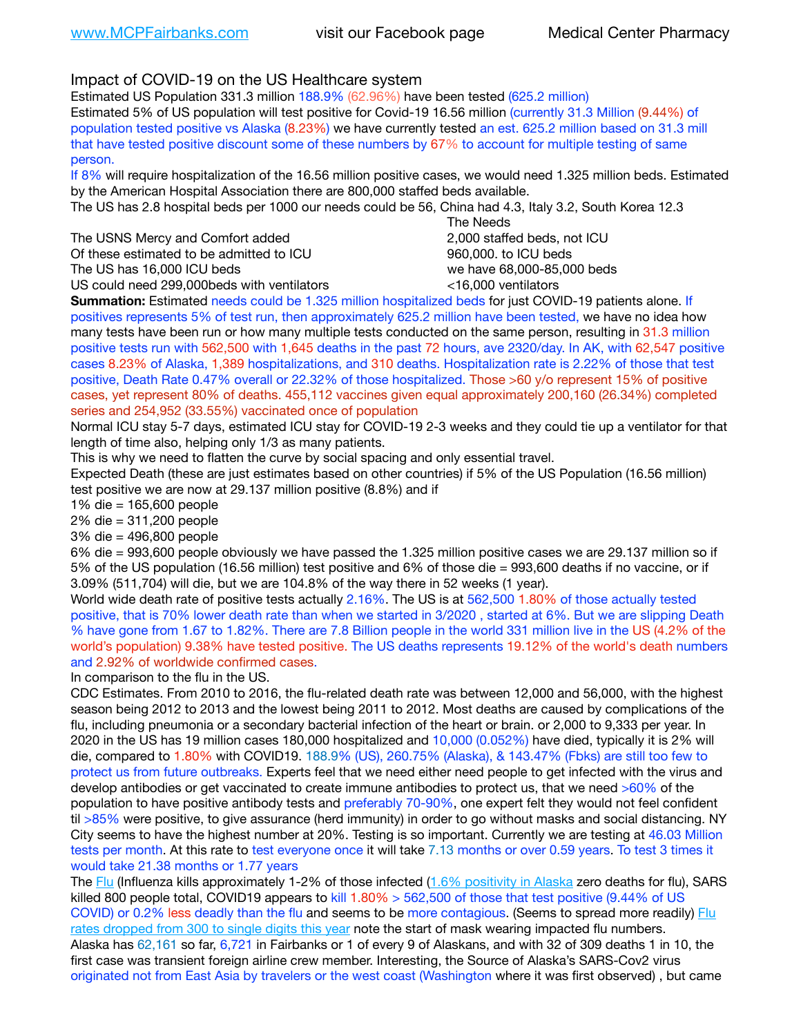Impact of COVID-19 on the US Healthcare system

Estimated US Population 331.3 million 188.9% (62.96%) have been tested (625.2 million) Estimated 5% of US population will test positive for Covid-19 16.56 million (currently 31.3 Million (9.44%) of population tested positive vs Alaska (8.23%) we have currently tested an est. 625.2 million based on 31.3 mill that have tested positive discount some of these numbers by 67% to account for multiple testing of same person.

If 8% will require hospitalization of the 16.56 million positive cases, we would need 1.325 million beds. Estimated by the American Hospital Association there are 800,000 staffed beds available.

The US has 2.8 hospital beds per 1000 our needs could be 56, China had 4.3, Italy 3.2, South Korea 12.3

The USNS Mercy and Comfort added **8.2000** staffed beds, not ICU Of these estimated to be admitted to ICU 860,000. to ICU beds The US has 16,000 ICU beds we have 68,000-85,000 beds

 The Needs US could need 299,000beds with ventilators <16,000 ventilators

**Summation:** Estimated needs could be 1.325 million hospitalized beds for just COVID-19 patients alone. If positives represents 5% of test run, then approximately 625.2 million have been tested, we have no idea how many tests have been run or how many multiple tests conducted on the same person, resulting in 31.3 million positive tests run with 562,500 with 1,645 deaths in the past 72 hours, ave 2320/day. In AK, with 62,547 positive cases 8.23% of Alaska, 1,389 hospitalizations, and 310 deaths. Hospitalization rate is 2.22% of those that test positive, Death Rate 0.47% overall or 22.32% of those hospitalized. Those >60 y/o represent 15% of positive cases, yet represent 80% of deaths. 455,112 vaccines given equal approximately 200,160 (26.34%) completed series and 254,952 (33.55%) vaccinated once of population

Normal ICU stay 5-7 days, estimated ICU stay for COVID-19 2-3 weeks and they could tie up a ventilator for that length of time also, helping only 1/3 as many patients.

This is why we need to flatten the curve by social spacing and only essential travel.

Expected Death (these are just estimates based on other countries) if 5% of the US Population (16.56 million) test positive we are now at 29.137 million positive (8.8%) and if

1% die = 165,600 people

2% die = 311,200 people

3% die = 496,800 people

6% die = 993,600 people obviously we have passed the 1.325 million positive cases we are 29.137 million so if 5% of the US population (16.56 million) test positive and 6% of those die = 993,600 deaths if no vaccine, or if 3.09% (511,704) will die, but we are 104.8% of the way there in 52 weeks (1 year).

World wide death rate of positive tests actually 2.16%. The US is at 562,500 1.80% of those actually tested positive, that is 70% lower death rate than when we started in 3/2020 , started at 6%. But we are slipping Death % have gone from 1.67 to 1.82%. There are 7.8 Billion people in the world 331 million live in the US (4.2% of the world's population) 9.38% have tested positive. The US deaths represents 19.12% of the world's death numbers and 2.92% of worldwide confirmed cases.

In comparison to the flu in the US.

CDC Estimates. From 2010 to 2016, the flu-related death rate was between 12,000 and 56,000, with the highest season being 2012 to 2013 and the lowest being 2011 to 2012. Most deaths are caused by complications of the flu, including pneumonia or a secondary bacterial infection of the heart or brain. or 2,000 to 9,333 per year. In 2020 in the US has 19 million cases 180,000 hospitalized and 10,000 (0.052%) have died, typically it is 2% will die, compared to 1.80% with COVID19. 188.9% (US), 260.75% (Alaska), & 143.47% (Fbks) are still too few to protect us from future outbreaks. Experts feel that we need either need people to get infected with the virus and develop antibodies or get vaccinated to create immune antibodies to protect us, that we need >60% of the population to have positive antibody tests and preferably 70-90%, one expert felt they would not feel confident til >85% were positive, to give assurance (herd immunity) in order to go without masks and social distancing. NY City seems to have the highest number at 20%. Testing is so important. Currently we are testing at 46.03 Million tests per month. At this rate to test everyone once it will take 7.13 months or over 0.59 years. To test 3 times it would take 21.38 months or 1.77 years

The [Flu](https://lnks.gd/l/eyJhbGciOiJIUzI1NiJ9.eyJidWxsZXRpbl9saW5rX2lkIjoxMDMsInVyaSI6ImJwMjpjbGljayIsImJ1bGxldGluX2lkIjoiMjAyMTAyMjYuMzYwNDA3NTEiLCJ1cmwiOiJodHRwczovL3d3dy5jZGMuZ292L2ZsdS93ZWVrbHkvb3ZlcnZpZXcuaHRtIn0.ePMA_hsZ-pTnhWSyg1gHvHWYTu2XceVOt0JejxvP1WE/s/500544915/br/98428119752-l) (Influenza kills approximately 1-2% of those infected ([1.6% positivity in Alaska](http://dhss.alaska.gov/dph/Epi/id/SiteAssets/Pages/influenza/trends/Snapshot.pdf) zero deaths for flu), SARS killed 800 people total, COVID19 appears to kill 1.80% > 562,500 of those that test positive (9.44% of US COVID) or 0.2% less deadly than the flu and seems to be more contagious. (Seems to spread more readily) Flu [rates dropped from 300 to single digits this year](https://lnks.gd/l/eyJhbGciOiJIUzI1NiJ9.eyJidWxsZXRpbl9saW5rX2lkIjoxMDEsInVyaSI6ImJwMjpjbGljayIsImJ1bGxldGluX2lkIjoiMjAyMTAyMjYuMzYwNDA3NTEiLCJ1cmwiOiJodHRwOi8vZGhzcy5hbGFza2EuZ292L2RwaC9FcGkvaWQvUGFnZXMvaW5mbHVlbnphL2ZsdWluZm8uYXNweCJ9.oOe3nt2fww6XpsNhb4FZfmtPfPa-irGaldpkURBJhSo/s/500544915/br/98428119752-l) note the start of mask wearing impacted flu numbers. Alaska has 62,161 so far, 6,721 in Fairbanks or 1 of every 9 of Alaskans, and with 32 of 309 deaths 1 in 10, the first case was transient foreign airline crew member. Interesting, the Source of Alaska's SARS-Cov2 virus originated not from East Asia by travelers or the west coast (Washington where it was first observed) , but came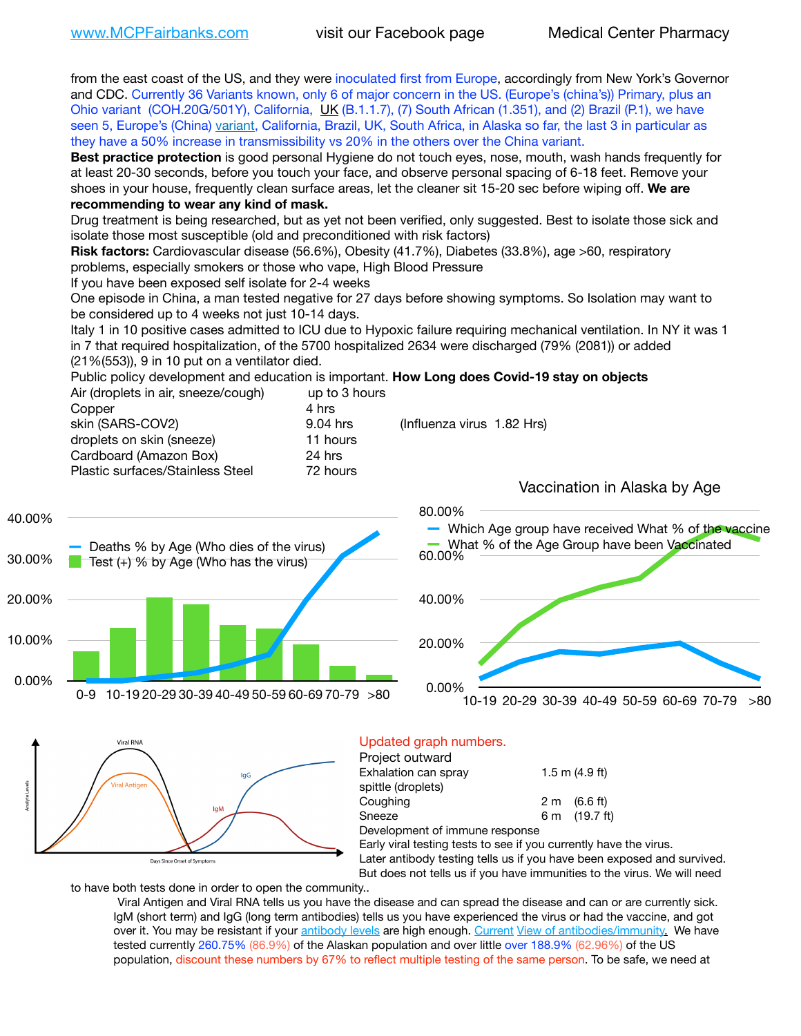from the east coast of the US, and they were inoculated first from Europe, accordingly from New York's Governor and CDC. Currently 36 Variants known, only 6 of major concern in the US. (Europe's (china's)) Primary, plus an Ohio variant (COH.20G/501Y), California, [UK](https://www.cdc.gov/coronavirus/2019-ncov/transmission/variant-cases.html) (B.1.1.7), (7) South African (1.351), and (2) Brazil (P.1), we have seen 5, Europe's (China) [variant,](https://www.webmd.com/lung/news/20210318/cdc-who-create-threat-levels-for-covid-variants?ecd=wnl_cvd_031921&ctr=wnl-cvd-031921&mb=kYbf7DsHb7YGjh/1RUkcAW0T6iorImAU1TDZh18RYs0=_Support_titleLink_2) California, Brazil, UK, South Africa, in Alaska so far, the last 3 in particular as they have a 50% increase in transmissibility vs 20% in the others over the China variant. **Best practice protection** is good personal Hygiene do not touch eyes, nose, mouth, wash hands frequently for at least 20-30 seconds, before you touch your face, and observe personal spacing of 6-18 feet. Remove your shoes in your house, frequently clean surface areas, let the cleaner sit 15-20 sec before wiping off. **We are recommending to wear any kind of mask.** Drug treatment is being researched, but as yet not been verified, only suggested. Best to isolate those sick and isolate those most susceptible (old and preconditioned with risk factors) **Risk factors:** Cardiovascular disease (56.6%), Obesity (41.7%), Diabetes (33.8%), age >60, respiratory problems, especially smokers or those who vape, High Blood Pressure If you have been exposed self isolate for 2-4 weeks One episode in China, a man tested negative for 27 days before showing symptoms. So Isolation may want to be considered up to 4 weeks not just 10-14 days. Italy 1 in 10 positive cases admitted to ICU due to Hypoxic failure requiring mechanical ventilation. In NY it was 1 in 7 that required hospitalization, of the 5700 hospitalized 2634 were discharged (79% (2081)) or added (21%(553)), 9 in 10 put on a ventilator died. Public policy development and education is important. **How Long does Covid-19 stay on objects** Air (droplets in air, sneeze/cough) up to 3 hours Copper 4 hrs skin (SARS-COV2) 9.04 hrs (Influenza virus 1.82 Hrs) droplets on skin (sneeze) 11 hours Cardboard (Amazon Box) 24 hrs Plastic surfaces/Stainless Steel 72 hours Vaccination in Alaska by Age 80.00% 40.00% Which Age group have received What % of the vaccine Deaths % by Age (Who dies of the virus) What % of the Age Group have been Vaccinated 60.00% 30.00% Test  $(+)$  % by Age (Who has the virus) 40.00% 20.00% 10.00% 20.00% 0.00% 0.00% 0-9 10-19 20-29 30-39 40-49 50-59 60-69 70-79 >80 10-19 20-29 30-39 40-49 50-59 60-69 70-79 >80 **Viral RNA** Updated graph numbers. Project outward Exhalation can spray  $1.5 \text{ m}$  (4.9 ft) laG spittle (droplets) Coughing  $2 \text{ m}$   $(6.6 \text{ ft})$ Sneeze 6 m (19.7 ft) Development of immune response Early viral testing tests to see if you currently have the virus. Later antibody testing tells us if you have been exposed and survived. Days Since Onset of Symptoms

But does not tells us if you have immunities to the virus. We will need

to have both tests done in order to open the community..

Viral Antigen and Viral RNA tells us you have the disease and can spread the disease and can or are currently sick. IgM (short term) and IgG (long term antibodies) tells us you have experienced the virus or had the vaccine, and got over it. You may be resistant if your [antibody levels](https://www.cdc.gov/coronavirus/2019-ncov/lab/resources/antibody-tests.html) are high enough. [Current](https://l.facebook.com/l.php?u=https://www.itv.com/news/2020-10-26/covid-19-antibody-levels-reduce-over-time-study-finds?fbclid=IwAR3Dapzh1qIH1EIOdUQI2y8THf7jfA4KBCaJz8Qg-8xe1YsrR4nsAHDIXSY&h=AT30nut8pkqp0heVuz5W2rT2WFFm-2Ab52BsJxZZCNlGsX58IpPkuVEPULbIUV_M16MAukx1Kwb657DPXxsgDN1rpOQ4gqBtQsmVYiWpnHPJo2RQsU6CPMd14lgLnQnFWxfVi6zvmw&__tn__=-UK-R&c%5B0%5D=AT1GaRAfR_nGAyqcn7TI1-PpvqOqEKXHnz6TDWvRStMnOSH7boQDvTiwTOc6VId9UES6LKiOmm2m88wKCoolkJyOFvakt2Z1Mw8toYWGGoWW23r0MNVBl7cYJXB_UOvGklNHaNnaNr1_S7NhT3BSykNOBg) [View of antibodies/immunity](https://www.livescience.com/antibodies.html)[.](https://www.itv.com/news/2020-10-26/covid-19-antibody-levels-reduce-over-time-study-finds) We have tested currently 260.75% (86.9%) of the Alaskan population and over little over 188.9% (62.96%) of the US population, discount these numbers by 67% to reflect multiple testing of the same person. To be safe, we need at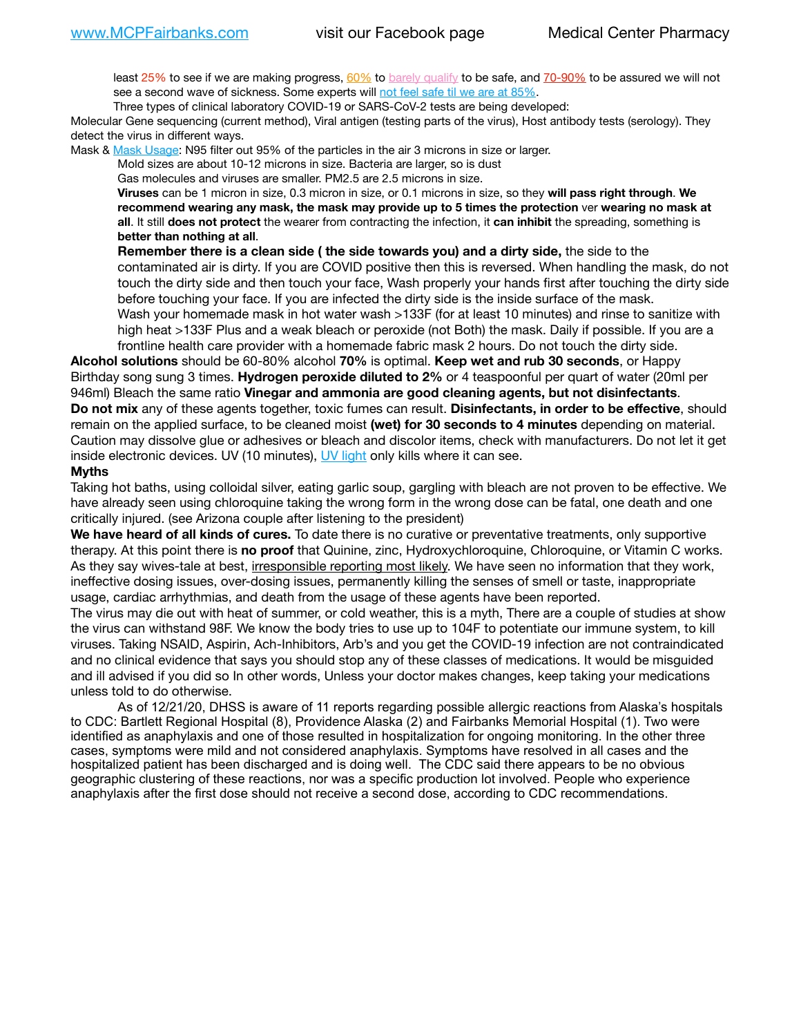least 25% to see if we are making progress, [60%](https://www.jhsph.edu/covid-19/articles/achieving-herd-immunity-with-covid19.html) to [barely qualify](https://www.nature.com/articles/d41586-020-02948-4) to be safe, and [70-90%](https://www.mayoclinic.org/herd-immunity-and-coronavirus/art-20486808) to be assured we will not see a second wave of sickness. Some experts will [not feel safe til we are at 85%.](https://www.bannerhealth.com/healthcareblog/teach-me/what-is-herd-immunity)

Three types of clinical laboratory COVID-19 or SARS-CoV-2 tests are being developed:

Molecular Gene sequencing (current method), Viral antigen (testing parts of the virus), Host antibody tests (serology). They detect the virus in different ways.

Mask & [Mask Usage:](https://www.nationalgeographic.com/history/2020/03/how-cities-flattened-curve-1918-spanish-flu-pandemic-coronavirus/) N95 filter out 95% of the particles in the air 3 microns in size or larger.

Mold sizes are about 10-12 microns in size. Bacteria are larger, so is dust

Gas molecules and viruses are smaller. PM2.5 are 2.5 microns in size.

**Viruses** can be 1 micron in size, 0.3 micron in size, or 0.1 microns in size, so they **will pass right through**. **We recommend wearing any mask, the mask may provide up to 5 times the protection** ver **wearing no mask at all**. It still **does not protect** the wearer from contracting the infection, it **can inhibit** the spreading, something is **better than nothing at all**.

**Remember there is a clean side ( the side towards you) and a dirty side,** the side to the contaminated air is dirty. If you are COVID positive then this is reversed. When handling the mask, do not touch the dirty side and then touch your face, Wash properly your hands first after touching the dirty side before touching your face. If you are infected the dirty side is the inside surface of the mask. Wash your homemade mask in hot water wash >133F (for at least 10 minutes) and rinse to sanitize with high heat >133F Plus and a weak bleach or peroxide (not Both) the mask. Daily if possible. If you are a frontline health care provider with a homemade fabric mask 2 hours. Do not touch the dirty side.

**Alcohol solutions** should be 60-80% alcohol **70%** is optimal. **Keep wet and rub 30 seconds**, or Happy Birthday song sung 3 times. **Hydrogen peroxide diluted to 2%** or 4 teaspoonful per quart of water (20ml per 946ml) Bleach the same ratio **Vinegar and ammonia are good cleaning agents, but not disinfectants**. **Do not mix** any of these agents together, toxic fumes can result. **Disinfectants, in order to be effective**, should remain on the applied surface, to be cleaned moist **(wet) for 30 seconds to 4 minutes** depending on material. Caution may dissolve glue or adhesives or bleach and discolor items, check with manufacturers. Do not let it get inside electronic devices. UV (10 minutes), [UV light](http://www.docreviews.me/best-uv-boxes-2020/?fbclid=IwAR3bvFtXB48OoBBSvYvTEnKuHNPbipxM6jUo82QUSw9wckxjC7wwRZWabGw) only kills where it can see.

## **Myths**

Taking hot baths, using colloidal silver, eating garlic soup, gargling with bleach are not proven to be effective. We have already seen using chloroquine taking the wrong form in the wrong dose can be fatal, one death and one critically injured. (see Arizona couple after listening to the president)

**We have heard of all kinds of cures.** To date there is no curative or preventative treatments, only supportive therapy. At this point there is **no proof** that Quinine, zinc, Hydroxychloroquine, Chloroquine, or Vitamin C works. As they say wives-tale at best, *irresponsible reporting most likely*. We have seen no information that they work, ineffective dosing issues, over-dosing issues, permanently killing the senses of smell or taste, inappropriate usage, cardiac arrhythmias, and death from the usage of these agents have been reported.

The virus may die out with heat of summer, or cold weather, this is a myth, There are a couple of studies at show the virus can withstand 98F. We know the body tries to use up to 104F to potentiate our immune system, to kill viruses. Taking NSAID, Aspirin, Ach-Inhibitors, Arb's and you get the COVID-19 infection are not contraindicated and no clinical evidence that says you should stop any of these classes of medications. It would be misguided and ill advised if you did so In other words, Unless your doctor makes changes, keep taking your medications unless told to do otherwise.

As of 12/21/20, DHSS is aware of 11 reports regarding possible allergic reactions from Alaska's hospitals to CDC: Bartlett Regional Hospital (8), Providence Alaska (2) and Fairbanks Memorial Hospital (1). Two were identified as anaphylaxis and one of those resulted in hospitalization for ongoing monitoring. In the other three cases, symptoms were mild and not considered anaphylaxis. Symptoms have resolved in all cases and the hospitalized patient has been discharged and is doing well. The CDC said there appears to be no obvious geographic clustering of these reactions, nor was a specific production lot involved. People who experience anaphylaxis after the first dose should not receive a second dose, according to CDC recommendations.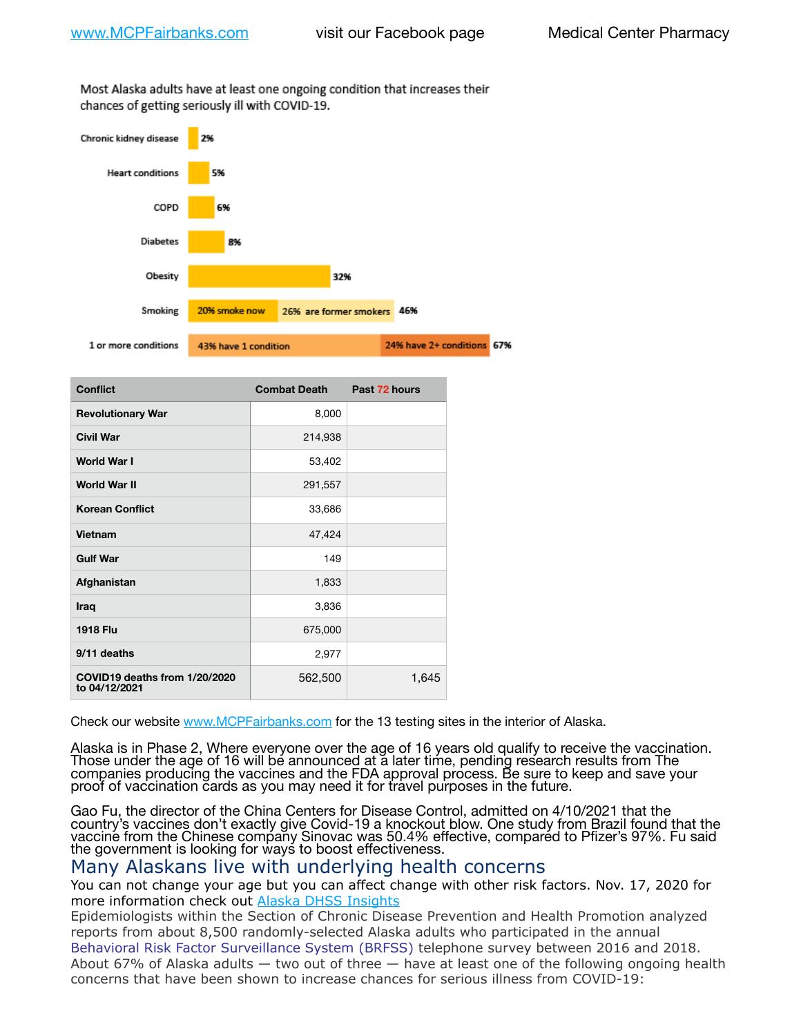Most Alaska adults have at least one ongoing condition that increases their chances of getting seriously ill with COVID-19.



| <b>Conflict</b>                                | <b>Combat Death</b> | Past 72 hours |
|------------------------------------------------|---------------------|---------------|
| <b>Revolutionary War</b>                       | 8,000               |               |
| <b>Civil War</b>                               | 214,938             |               |
| World War I                                    | 53,402              |               |
| <b>World War II</b>                            | 291,557             |               |
| <b>Korean Conflict</b>                         | 33,686              |               |
| Vietnam                                        | 47,424              |               |
| <b>Gulf War</b>                                | 149                 |               |
| Afghanistan                                    | 1,833               |               |
| Iraq                                           | 3,836               |               |
| <b>1918 Flu</b>                                | 675,000             |               |
| 9/11 deaths                                    | 2,977               |               |
| COVID19 deaths from 1/20/2020<br>to 04/12/2021 | 562,500             | 1,645         |

Check our website [www.MCPFairbanks.com](http://www.MCPFairbanks.com) for the 13 testing sites in the interior of Alaska.

Alaska is in Phase 2, Where everyone over the age of 16 years old qualify to receive the vaccination. Those under the age of 16 will be announced at a later time, pending research results from The companies producing the vaccines and the FDA approval process. Be sure to keep and save your proof of vaccination cards as you may need it for travel purposes in the future.

Gao Fu, the director of the China Centers for Disease Control, admitted on 4/10/2021 that the country's vaccines don't exactly give Covid-19 a knockout blow. One study from Brazil found that the vaccine from the Chinese company Sinovac was 50.4% effective, compared to Pfizer's 97%. Fu said the government is looking for ways to boost effectiveness.

## Many Alaskans live with underlying health concerns

You can not change your age but you can affect change with other risk factors. Nov. 17, 2020 for more information check out [Alaska DHSS Insights](http://dhss.alaska.gov/dph/Epi/id/Pages/COVID-19/blog/20201117.aspx)

Epidemiologists within the Section of Chronic Disease Prevention and Health Promotion analyzed reports from about 8,500 randomly-selected Alaska adults who participated in the annual [Behavioral Risk Factor Surveillance System \(BRFSS\)](http://dhss.alaska.gov/dph/Chronic/Pages/brfss/default.aspx) telephone survey between 2016 and 2018. About 67% of Alaska adults — two out of three — have at least one of the following ongoing health concerns that have been shown to increase chances for serious illness from COVID-19: